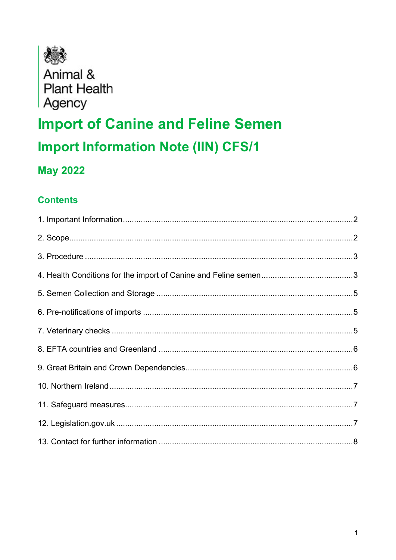

# **Import of Canine and Feline Semen Import Information Note (IIN) CFS/1**

#### **May 2022**

#### **Contents**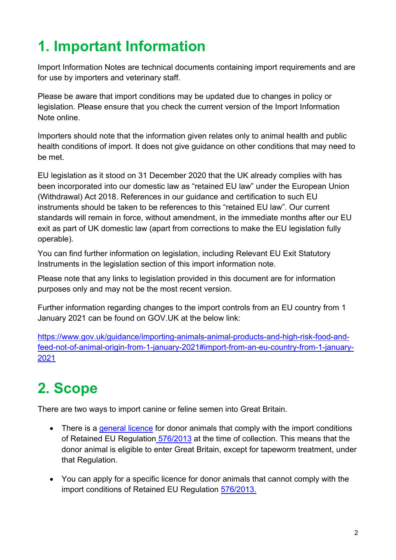# <span id="page-1-0"></span>**1. Important Information**

Import Information Notes are technical documents containing import requirements and are for use by importers and veterinary staff.

Please be aware that import conditions may be updated due to changes in policy or legislation. Please ensure that you check the current version of the Import Information Note online.

Importers should note that the information given relates only to animal health and public health conditions of import. It does not give guidance on other conditions that may need to be met.

EU legislation as it stood on 31 December 2020 that the UK already complies with has been incorporated into our domestic law as "retained EU law" under the European Union (Withdrawal) Act 2018. References in our guidance and certification to such EU instruments should be taken to be references to this "retained EU law". Our current standards will remain in force, without amendment, in the immediate months after our EU exit as part of UK domestic law (apart from corrections to make the EU legislation fully operable).

You can find further information on legislation, including Relevant EU Exit Statutory Instruments in the legislation section of this import information note.

Please note that any links to legislation provided in this document are for information purposes only and may not be the most recent version.

Further information regarding changes to the import controls from an EU country from 1 January 2021 can be found on GOV.UK at the below link:

[https://www.gov.uk/guidance/importing-animals-animal-products-and-high-risk-food-and](https://www.gov.uk/guidance/importing-animals-animal-products-and-high-risk-food-and-feed-not-of-animal-origin-from-1-january-2021#import-from-an-eu-country-from-1-january-2021)[feed-not-of-animal-origin-from-1-january-2021#import-from-an-eu-country-from-1-january-](https://www.gov.uk/guidance/importing-animals-animal-products-and-high-risk-food-and-feed-not-of-animal-origin-from-1-january-2021#import-from-an-eu-country-from-1-january-2021)[2021](https://www.gov.uk/guidance/importing-animals-animal-products-and-high-risk-food-and-feed-not-of-animal-origin-from-1-january-2021#import-from-an-eu-country-from-1-january-2021)

# <span id="page-1-1"></span>**2. Scope**

There are two ways to import canine or feline semen into Great Britain.

- There is a [general licence](https://www.gov.uk/government/uploads/system/uploads/attachment_data/file/503056/general-licence-rs14.pdf) for donor animals that comply with the import conditions of Retained EU Regulation [576/2013](https://www.legislation.gov.uk/eur/2013/576/contents) at the time of collection. This means that the donor animal is eligible to enter Great Britain, except for tapeworm treatment, under that Regulation.
- You can apply for a specific licence for donor animals that cannot comply with the import conditions of Retained EU Regulation [576/2013.](https://www.legislation.gov.uk/eur/2013/576/contents)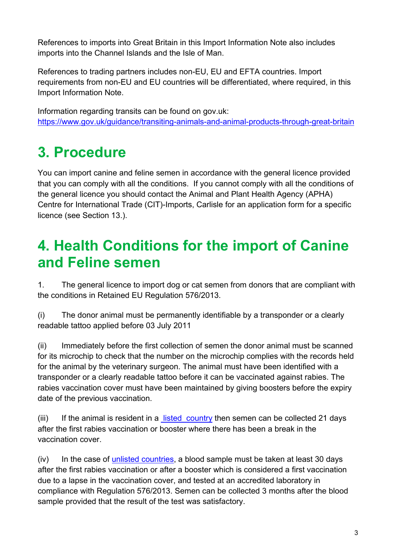References to imports into Great Britain in this Import Information Note also includes imports into the Channel Islands and the Isle of Man.

References to trading partners includes non-EU, EU and EFTA countries. Import requirements from non-EU and EU countries will be differentiated, where required, in this Import Information Note.

Information regarding transits can be found on gov.uk: <https://www.gov.uk/guidance/transiting-animals-and-animal-products-through-great-britain>

## <span id="page-2-0"></span>**3. Procedure**

You can import canine and feline semen in accordance with the general licence provided that you can comply with all the conditions. If you cannot comply with all the conditions of the general licence you should contact the Animal and Plant Health Agency (APHA) Centre for International Trade (CIT)-Imports, Carlisle for an application form for a specific licence (see Section 13.).

#### <span id="page-2-1"></span>**4. Health Conditions for the import of Canine and Feline semen**

1. The general licence to import dog or cat semen from donors that are compliant with the conditions in Retained EU Regulation 576/2013.

(i) The donor animal must be permanently identifiable by a transponder or a clearly readable tattoo applied before 03 July 2011

(ii) Immediately before the first collection of semen the donor animal must be scanned for its microchip to check that the number on the microchip complies with the records held for the animal by the veterinary surgeon. The animal must have been identified with a transponder or a clearly readable tattoo before it can be vaccinated against rabies. The rabies vaccination cover must have been maintained by giving boosters before the expiry date of the previous vaccination.

 $(iii)$  If the animal is resident in a [listed country](https://www.gov.uk/take-pet-abroad/listed-and-unlisted-countries) then semen can be collected 21 days after the first rabies vaccination or booster where there has been a break in the vaccination cover.

 $(iv)$  In the case of [unlisted countries,](https://www.gov.uk/take-pet-abroad/listed-and-unlisted-countries) a blood sample must be taken at least 30 days after the first rabies vaccination or after a booster which is considered a first vaccination due to a lapse in the vaccination cover, and tested at an accredited laboratory in compliance with Regulation 576/2013. Semen can be collected 3 months after the blood sample provided that the result of the test was satisfactory.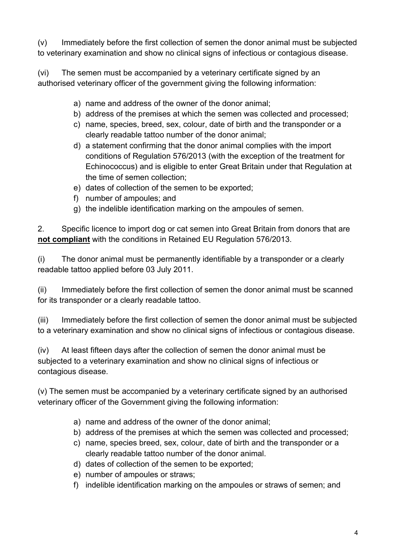(v) Immediately before the first collection of semen the donor animal must be subjected to veterinary examination and show no clinical signs of infectious or contagious disease.

(vi) The semen must be accompanied by a veterinary certificate signed by an authorised veterinary officer of the government giving the following information:

- a) name and address of the owner of the donor animal;
- b) address of the premises at which the semen was collected and processed;
- c) name, species, breed, sex, colour, date of birth and the transponder or a clearly readable tattoo number of the donor animal;
- d) a statement confirming that the donor animal complies with the import conditions of Regulation 576/2013 (with the exception of the treatment for Echinococcus) and is eligible to enter Great Britain under that Regulation at the time of semen collection;
- e) dates of collection of the semen to be exported;
- f) number of ampoules; and
- g) the indelible identification marking on the ampoules of semen.

2. Specific licence to import dog or cat semen into Great Britain from donors that are **not compliant** with the conditions in Retained EU Regulation 576/2013.

(i) The donor animal must be permanently identifiable by a transponder or a clearly readable tattoo applied before 03 July 2011.

(ii) Immediately before the first collection of semen the donor animal must be scanned for its transponder or a clearly readable tattoo.

(iii) Immediately before the first collection of semen the donor animal must be subjected to a veterinary examination and show no clinical signs of infectious or contagious disease.

(iv) At least fifteen days after the collection of semen the donor animal must be subjected to a veterinary examination and show no clinical signs of infectious or contagious disease.

(v) The semen must be accompanied by a veterinary certificate signed by an authorised veterinary officer of the Government giving the following information:

- a) name and address of the owner of the donor animal;
- b) address of the premises at which the semen was collected and processed;
- c) name, species breed, sex, colour, date of birth and the transponder or a clearly readable tattoo number of the donor animal.
- d) dates of collection of the semen to be exported;
- e) number of ampoules or straws;
- f) indelible identification marking on the ampoules or straws of semen; and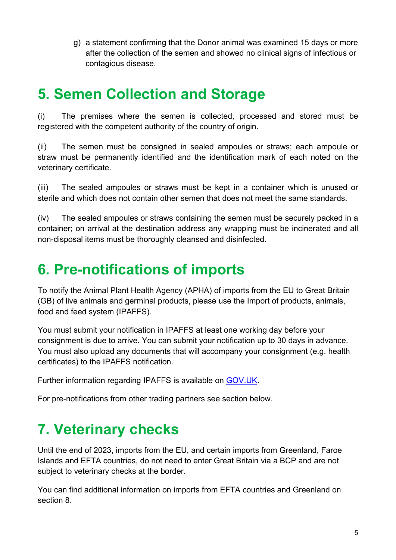g) a statement confirming that the Donor animal was examined 15 days or more after the collection of the semen and showed no clinical signs of infectious or contagious disease.

#### <span id="page-4-0"></span>**5. Semen Collection and Storage**

(i) The premises where the semen is collected, processed and stored must be registered with the competent authority of the country of origin.

(ii) The semen must be consigned in sealed ampoules or straws; each ampoule or straw must be permanently identified and the identification mark of each noted on the veterinary certificate.

(iii) The sealed ampoules or straws must be kept in a container which is unused or sterile and which does not contain other semen that does not meet the same standards.

(iv) The sealed ampoules or straws containing the semen must be securely packed in a container; on arrival at the destination address any wrapping must be incinerated and all non-disposal items must be thoroughly cleansed and disinfected.

#### <span id="page-4-1"></span>**6. Pre-notifications of imports**

To notify the Animal Plant Health Agency (APHA) of imports from the EU to Great Britain (GB) of live animals and germinal products, please use the Import of products, animals, food and feed system (IPAFFS).

You must submit your notification in IPAFFS at least one working day before your consignment is due to arrive. You can submit your notification up to 30 days in advance. You must also upload any documents that will accompany your consignment (e.g. health certificates) to the IPAFFS notification.

Further information regarding IPAFFS is available on [GOV.UK.](https://www.gov.uk/guidance/importing-animals-animal-products-and-high-risk-food-and-feed-not-of-animal-origin-from-1-january-2021#import-from-an-eu-country)

For pre-notifications from other trading partners see section below.

### <span id="page-4-2"></span>**7. Veterinary checks**

Until the end of 2023, imports from the EU, and certain imports from Greenland, Faroe Islands and EFTA countries, do not need to enter Great Britain via a BCP and are not subject to veterinary checks at the border.

You can find additional information on imports from EFTA countries and Greenland on section 8.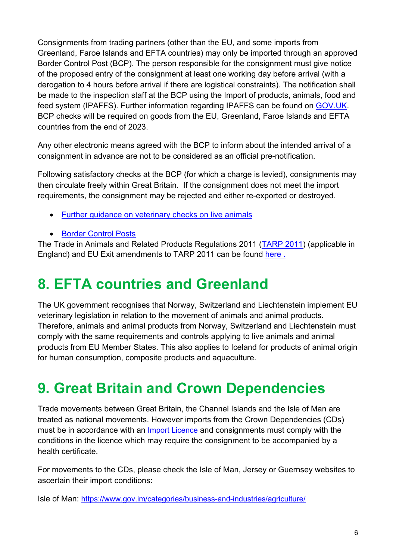Consignments from trading partners (other than the EU, and some imports from Greenland, Faroe Islands and EFTA countries) may only be imported through an approved Border Control Post (BCP). The person responsible for the consignment must give notice of the proposed entry of the consignment at least one working day before arrival (with a derogation to 4 hours before arrival if there are logistical constraints). The notification shall be made to the inspection staff at the BCP using the Import of products, animals, food and feed system (IPAFFS). Further information regarding IPAFFS can be found on [GOV.UK.](https://eur03.safelinks.protection.outlook.com/?url=https%3A%2F%2Fwww.gov.uk%2Fguidance%2Fimport-of-products-animals-food-and-feed-system&data=04%7C01%7CMichelle.Allison%40apha.gov.uk%7C21abeb37933b4c0cb79e08d9dcbea81d%7C770a245002274c6290c74e38537f1102%7C0%7C0%7C637783533683268596%7CUnknown%7CTWFpbGZsb3d8eyJWIjoiMC4wLjAwMDAiLCJQIjoiV2luMzIiLCJBTiI6Ik1haWwiLCJXVCI6Mn0%3D%7C3000&sdata=Es3qQeK5xZ0FvCRoV20DHbfzX3mJDPs95lJn7I9f%2BvY%3D&reserved=0) BCP checks will be required on goods from the EU, Greenland, Faroe Islands and EFTA countries from the end of 2023.

Any other electronic means agreed with the BCP to inform about the intended arrival of a consignment in advance are not to be considered as an official pre-notification.

Following satisfactory checks at the BCP (for which a charge is levied), consignments may then circulate freely within Great Britain. If the consignment does not meet the import requirements, the consignment may be rejected and either re-exported or destroyed.

- [Further guidance on veterinary checks on live animals](http://apha.defra.gov.uk/documents/bip/iin/vcla.pdf)
- [Border Control Posts](https://www.gov.uk/government/publications/uk-border-inspection-posts-contact-details)

The [Trade in Animals and Related Products Regulations 2011](https://www.legislation.gov.uk/uksi/2011/1197/contents) [\(TARP 2011\)](https://www.legislation.gov.uk/uksi/2011/1197/contents/made) (applicable in England) and EU Exit amendments to TARP 2011 can be found [here](https://www.legislation.gov.uk/uksi/2020/1462/made) .

#### <span id="page-5-0"></span>**8. EFTA countries and Greenland**

The UK government recognises that Norway, Switzerland and Liechtenstein implement EU veterinary legislation in relation to the movement of animals and animal products. Therefore, animals and animal products from Norway, Switzerland and Liechtenstein must comply with the same requirements and controls applying to live animals and animal products from EU Member States. This also applies to Iceland for products of animal origin for human consumption, composite products and aquaculture.

## <span id="page-5-1"></span>**9. Great Britain and Crown Dependencies**

Trade movements between Great Britain, the Channel Islands and the Isle of Man are treated as national movements. However imports from the Crown Dependencies (CDs) must be in accordance with an [Import Licence](https://www.gov.uk/guidance/importing-live-animals-or-animal-products-from-non-eu-countries-general-licences-and-authorisations) and consignments must comply with the conditions in the licence which may require the consignment to be accompanied by a health certificate.

For movements to the CDs, please check the Isle of Man, Jersey or Guernsey websites to ascertain their import conditions:

Isle of Man:<https://www.gov.im/categories/business-and-industries/agriculture/>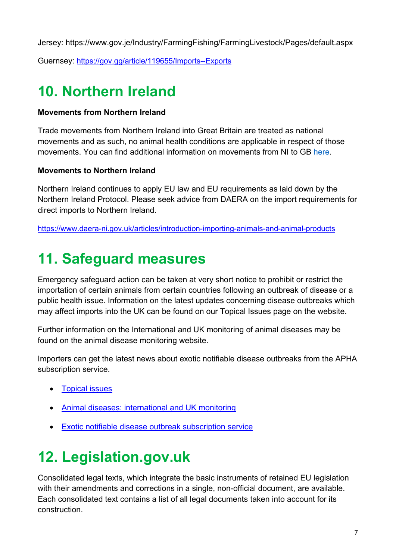Jersey: https://www.gov.je/Industry/FarmingFishing/FarmingLivestock/Pages/default.aspx

Guernsey:<https://gov.gg/article/119655/Imports--Exports>

### <span id="page-6-0"></span>**10. Northern Ireland**

#### **Movements from Northern Ireland**

Trade movements from Northern Ireland into Great Britain are treated as national movements and as such, no animal health conditions are applicable in respect of those movements. You can find additional information on movements from NI to GB [here.](https://www.gov.uk/guidance/importing-or-moving-live-animals-animal-products-and-high-risk-food-and-feed-not-of-animal-origin#movements-from-ni-to-gb)

#### **Movements to Northern Ireland**

Northern Ireland continues to apply EU law and EU requirements as laid down by the Northern Ireland Protocol. Please seek advice from DAERA on the import requirements for direct imports to Northern Ireland.

<https://www.daera-ni.gov.uk/articles/introduction-importing-animals-and-animal-products>

## <span id="page-6-1"></span>**11. Safeguard measures**

Emergency safeguard action can be taken at very short notice to prohibit or restrict the importation of certain animals from certain countries following an outbreak of disease or a public health issue. Information on the latest updates concerning disease outbreaks which may affect imports into the UK can be found on our Topical Issues page on the website.

Further information on the International and UK monitoring of animal diseases may be found on the animal disease monitoring website.

Importers can get the latest news about exotic notifiable disease outbreaks from the APHA subscription service.

- [Topical](https://www.gov.uk/imports-and-exports-of-animals-and-animal-products-topical-issues) issues
- [Animal diseases: international and UK monitoring](https://www.gov.uk/government/collections/animal-diseases-international-monitoring)
- Exotic notifiable [disease outbreak subscription service](https://www.gov.uk/government/collections/animal-diseases-international-monitoring)

# <span id="page-6-2"></span>**12. Legislation.gov.uk**

Consolidated legal texts, which integrate the basic instruments of retained EU legislation with their amendments and corrections in a single, non-official document, are available. Each consolidated text contains a list of all legal documents taken into account for its construction.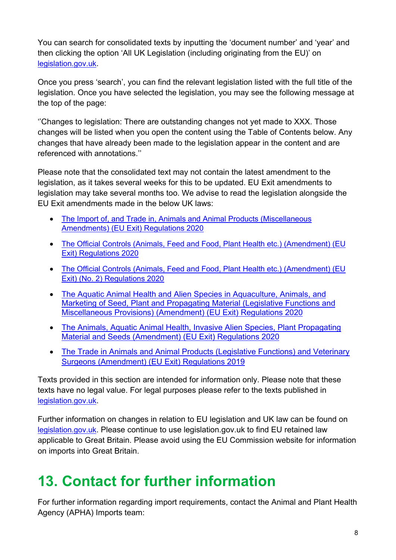You can search for consolidated texts by inputting the 'document number' and 'year' and then clicking the option 'All UK Legislation (including originating from the EU)' on [legislation.gov.uk.](https://www.legislation.gov.uk/)

Once you press 'search', you can find the relevant legislation listed with the full title of the legislation. Once you have selected the legislation, you may see the following message at the top of the page:

''Changes to legislation: There are outstanding changes not yet made to XXX. Those changes will be listed when you open the content using the Table of Contents below. Any changes that have already been made to the legislation appear in the content and are referenced with annotations.''

Please note that the consolidated text may not contain the latest amendment to the legislation, as it takes several weeks for this to be updated. EU Exit amendments to legislation may take several months too. We advise to read the legislation alongside the EU Exit amendments made in the below UK laws:

- The Import [of, and Trade in, Animals and Animal Products \(Miscellaneous](https://www.legislation.gov.uk/ukdsi/2020/9780348213928/contents)  [Amendments\) \(EU Exit\) Regulations 2020](https://www.legislation.gov.uk/ukdsi/2020/9780348213928/contents)
- [The Official Controls \(Animals, Feed and Food, Plant Health etc.\) \(Amendment\) \(EU](https://www.legislation.gov.uk/ukdsi/2020/9780348214413/contents)  [Exit\) Regulations 2020](https://www.legislation.gov.uk/ukdsi/2020/9780348214413/contents)
- The Official Controls (Animals, [Feed and Food, Plant Health etc.\) \(Amendment\) \(EU](https://www.legislation.gov.uk/uksi/2020/1631/contents/made)  [Exit\) \(No. 2\) Regulations 2020](https://www.legislation.gov.uk/uksi/2020/1631/contents/made)
- [The Aquatic Animal Health and Alien Species in Aquaculture, Animals, and](https://www.legislation.gov.uk/uksi/2020/1463/contents/made)  [Marketing of Seed, Plant and Propagating Material \(Legislative Functions and](https://www.legislation.gov.uk/uksi/2020/1463/contents/made)  [Miscellaneous Provisions\) \(Amendment\)](https://www.legislation.gov.uk/uksi/2020/1463/contents/made) (EU Exit) Regulations 2020
- [The Animals, Aquatic Animal Health, Invasive Alien Species, Plant Propagating](https://www.legislation.gov.uk/uksi/2020/1388/contents/made)  [Material and Seeds \(Amendment\) \(EU Exit\) Regulations 2020](https://www.legislation.gov.uk/uksi/2020/1388/contents/made)
- [The Trade in Animals and Animal Products \(Legislative Functions\) and Veterinary](https://www.legislation.gov.uk/uksi/2019/1225/contents/made)  [Surgeons \(Amendment\) \(EU Exit\) Regulations 2019](https://www.legislation.gov.uk/uksi/2019/1225/contents/made)

Texts provided in this section are intended for information only. Please note that these texts have no legal value. For legal purposes please refer to the texts published in [legislation.gov.uk.](https://www.legislation.gov.uk/)

Further information on changes in relation to EU legislation and UK law can be found on [legislation.gov.uk.](https://www.legislation.gov.uk/eu-legislation-and-uk-law) Please continue to use legislation.gov.uk to find EU retained law applicable to Great Britain. Please avoid using the EU Commission website for information on imports into Great Britain.

### <span id="page-7-0"></span>**13. Contact for further information**

For further information regarding import requirements, contact the Animal and Plant Health Agency (APHA) Imports team: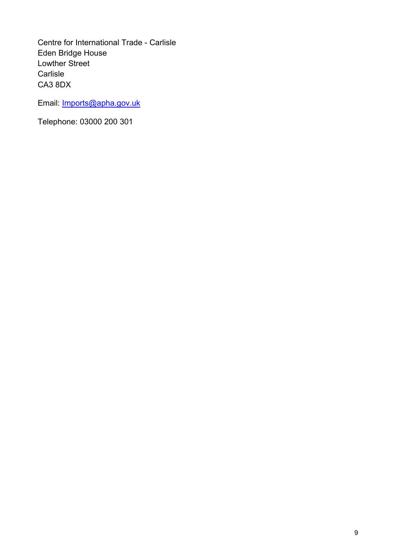Centre for International Trade - Carlisle Eden Bridge House Lowther Street **Carlisle** CA3 8DX

Email: [Imports@apha.gov.uk](mailto:Imports@apha.gov.uk)

Telephone: 03000 200 301